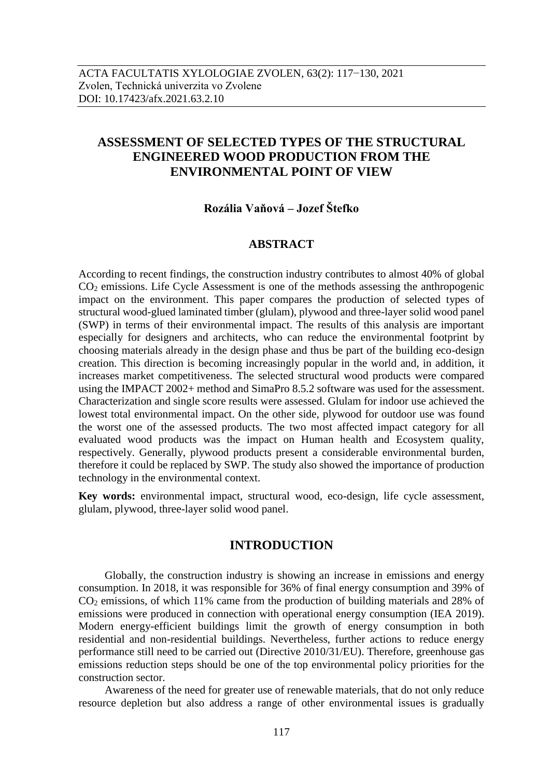# **ASSESSMENT OF SELECTED TYPES OF THE STRUCTURAL ENGINEERED WOOD PRODUCTION FROM THE ENVIRONMENTAL POINT OF VIEW**

## **Rozália Vaňová – Jozef Štefko**

## **ABSTRACT**

According to recent findings, the construction industry contributes to almost 40% of global CO<sup>2</sup> emissions. Life Cycle Assessment is one of the methods assessing the anthropogenic impact on the environment. This paper compares the production of selected types of structural wood-glued laminated timber (glulam), plywood and three-layer solid wood panel (SWP) in terms of their environmental impact. The results of this analysis are important especially for designers and architects, who can reduce the environmental footprint by choosing materials already in the design phase and thus be part of the building eco-design creation. This direction is becoming increasingly popular in the world and, in addition, it increases market competitiveness. The selected structural wood products were compared using the IMPACT 2002+ method and SimaPro 8.5.2 software was used for the assessment. Characterization and single score results were assessed. Glulam for indoor use achieved the lowest total environmental impact. On the other side, plywood for outdoor use was found the worst one of the assessed products. The two most affected impact category for all evaluated wood products was the impact on Human health and Ecosystem quality, respectively. Generally, plywood products present a considerable environmental burden, therefore it could be replaced by SWP. The study also showed the importance of production technology in the environmental context.

**Key words:** environmental impact, structural wood, eco-design, life cycle assessment, glulam, plywood, three-layer solid wood panel.

## **INTRODUCTION**

Globally, the construction industry is showing an increase in emissions and energy consumption. In 2018, it was responsible for 36% of final energy consumption and 39% of CO<sup>2</sup> emissions, of which 11% came from the production of building materials and 28% of emissions were produced in connection with operational energy consumption (IEA 2019). Modern energy-efficient buildings limit the growth of energy consumption in both residential and non-residential buildings. Nevertheless, further actions to reduce energy performance still need to be carried out (Directive 2010/31/EU). Therefore, greenhouse gas emissions reduction steps should be one of the top environmental policy priorities for the construction sector.

Awareness of the need for greater use of renewable materials, that do not only reduce resource depletion but also address a range of other environmental issues is gradually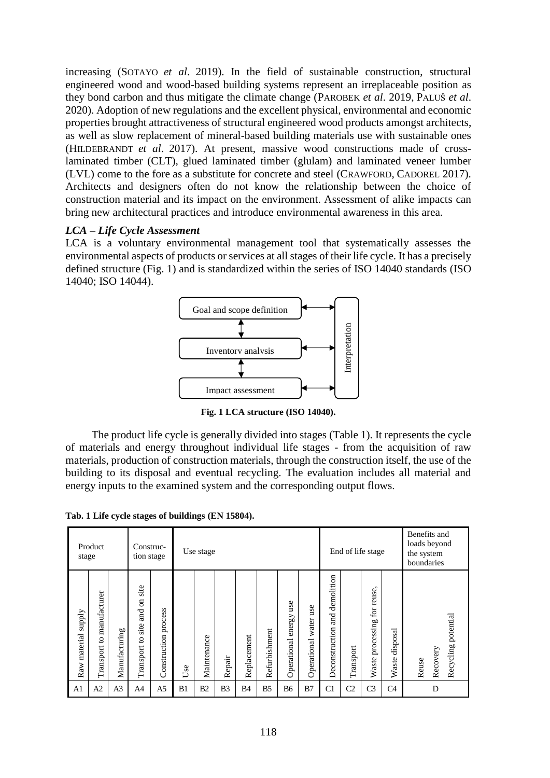increasing (SOTAYO *et al*. 2019). In the field of sustainable construction, structural engineered wood and wood-based building systems represent an irreplaceable position as they bond carbon and thus mitigate the climate change (PAROBEK *et al*. 2019, PALUŠ *et al*. 2020). Adoption of new regulations and the excellent physical, environmental and economic properties brought attractiveness of structural engineered wood products amongst architects, as well as slow replacement of mineral-based building materials use with sustainable ones (HILDEBRANDT *et al*. 2017). At present, massive wood constructions made of crosslaminated timber (CLT), glued laminated timber (glulam) and laminated veneer lumber (LVL) come to the fore as a substitute for concrete and steel (CRAWFORD, CADOREL 2017). Architects and designers often do not know the relationship between the choice of construction material and its impact on the environment. Assessment of alike impacts can bring new architectural practices and introduce environmental awareness in this area.

## *LCA – Life Cycle Assessment*

LCA is a voluntary environmental management tool that systematically assesses the environmental aspects of products or services at all stages of their life cycle. It has a precisely defined structure (Fig. 1) and is standardized within the series of ISO 14040 standards (ISO 14040; ISO 14044).



**Fig. 1 LCA structure (ISO 14040).**

The product life cycle is generally divided into stages (Table 1). It represents the cycle of materials and energy throughout individual life stages - from the acquisition of raw materials, production of construction materials, through the construction itself, the use of the building to its disposal and eventual recycling. The evaluation includes all material and energy inputs to the examined system and the corresponding output flows.

**Tab. 1 Life cycle stages of buildings (EN 15804).**

| Product<br>stage          |                              | Construc-<br>tion stage |                                                 | Use stage               |            |                |                | End of life stage |                |                              | Benefits and<br>loads beyond<br>the system<br>boundaries |                                             |                |                                                  |                   |                                          |
|---------------------------|------------------------------|-------------------------|-------------------------------------------------|-------------------------|------------|----------------|----------------|-------------------|----------------|------------------------------|----------------------------------------------------------|---------------------------------------------|----------------|--------------------------------------------------|-------------------|------------------------------------------|
| supply<br>material<br>Raw | to manufacturer<br>Transport | Manufacturing           | site<br><b>S</b><br>and<br>site<br>Transport to | process<br>Construction | $s$ e<br>S | Maintenance    | Repair         | Replacement       | Refurbishment  | use<br>energy<br>Operational | use<br>water<br>Operational                              | demolition<br><b>Fure</b><br>Deconstruction | Transport      | $\bullet$<br>reuse<br>for<br>processing<br>Waste | disposal<br>Waste | Recycling potential<br>Recovery<br>Reuse |
| A <sub>1</sub>            | A2                           | A <sub>3</sub>          | A4                                              | A <sub>5</sub>          | B1         | B <sub>2</sub> | B <sub>3</sub> | B4                | B <sub>5</sub> | <b>B6</b>                    | B7                                                       | C <sub>1</sub>                              | C <sub>2</sub> | C <sub>3</sub>                                   | C <sub>4</sub>    | D                                        |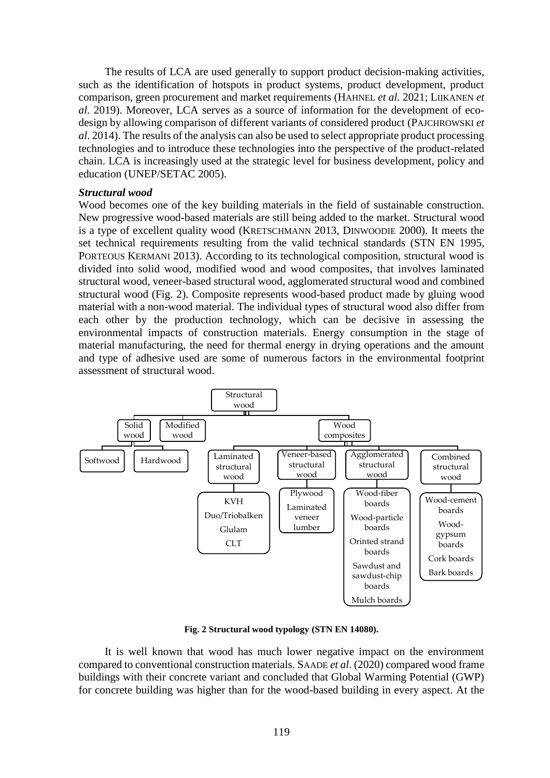The results of LCA are used generally to support product decision-making activities, such as the identification of hotspots in product systems, product development, product comparison, green procurement and market requirements (HAHNEL *et al.* 2021; LIIKANEN *et al.* 2019). Moreover, LCA serves as a source of information for the development of ecodesign by allowing comparison of different variants of considered product (PAJCHROWSKI *et al*. 2014). The results of the analysis can also be used to select appropriate product processing technologies and to introduce these technologies into the perspective of the product-related chain. LCA is increasingly used at the strategic level for business development, policy and education (UNEP/SETAC 2005).

### *Structural wood*

Wood becomes one of the key building materials in the field of sustainable construction. New progressive wood-based materials are still being added to the market. Structural wood is a type of excellent quality wood (KRETSCHMANN 2013, DINWOODIE 2000). It meets the set technical requirements resulting from the valid technical standards (STN EN 1995, PORTEOUS KERMANI 2013). According to its technological composition, structural wood is divided into solid wood, modified wood and wood composites, that involves laminated structural wood, veneer-based structural wood, agglomerated structural wood and combined structural wood (Fig. 2). Composite represents wood-based product made by gluing wood material with a non-wood material. The individual types of structural wood also differ from each other by the production technology, which can be decisive in assessing the environmental impacts of construction materials. Energy consumption in the stage of material manufacturing, the need for thermal energy in drying operations and the amount and type of adhesive used are some of numerous factors in the environmental footprint assessment of structural wood.



**Fig. 2 Structural wood typology (STN EN 14080).**

It is well known that wood has much lower negative impact on the environment compared to conventional construction materials. SAADE *et al*. (2020) compared wood frame buildings with their concrete variant and concluded that Global Warming Potential (GWP) for concrete building was higher than for the wood-based building in every aspect. At the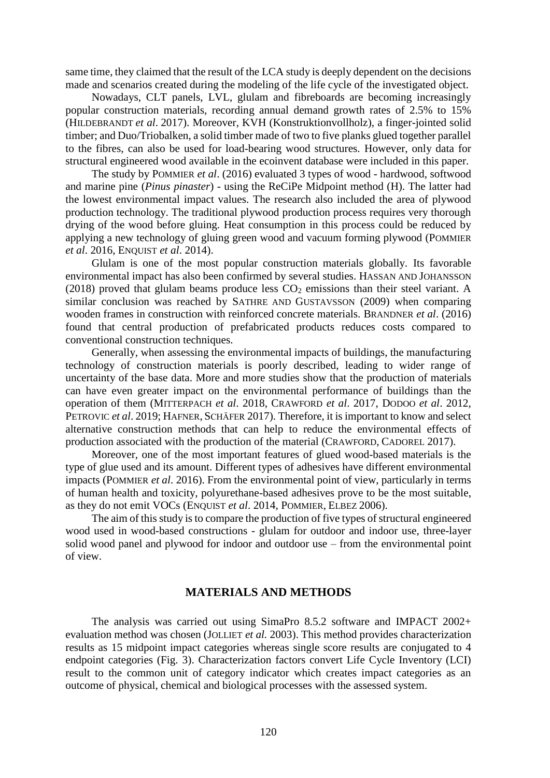same time, they claimed that the result of the LCA study is deeply dependent on the decisions made and scenarios created during the modeling of the life cycle of the investigated object.

Nowadays, CLT panels, LVL, glulam and fibreboards are becoming increasingly popular construction materials, recording annual demand growth rates of 2.5% to 15% (HILDEBRANDT *et al*. 2017). Moreover, KVH (Konstruktionvollholz), a finger-jointed solid timber; and Duo/Triobalken, a solid timber made of two to five planks glued together parallel to the fibres, can also be used for load-bearing wood structures. However, only data for structural engineered wood available in the ecoinvent database were included in this paper.

The study by POMMIER *et al*. (2016) evaluated 3 types of wood - hardwood, softwood and marine pine (*Pinus pinaster*) - using the ReCiPe Midpoint method (H). The latter had the lowest environmental impact values. The research also included the area of plywood production technology. The traditional plywood production process requires very thorough drying of the wood before gluing. Heat consumption in this process could be reduced by applying a new technology of gluing green wood and vacuum forming plywood (POMMIER *et al*. 2016, ENQUIST *et al*. 2014).

Glulam is one of the most popular construction materials globally. Its favorable environmental impact has also been confirmed by several studies. HASSAN AND JOHANSSON (2018) proved that glulam beams produce less  $CO<sub>2</sub>$  emissions than their steel variant. A similar conclusion was reached by SATHRE AND GUSTAVSSON (2009) when comparing wooden frames in construction with reinforced concrete materials. BRANDNER *et al*. (2016) found that central production of prefabricated products reduces costs compared to conventional construction techniques.

Generally, when assessing the environmental impacts of buildings, the manufacturing technology of construction materials is poorly described, leading to wider range of uncertainty of the base data. More and more studies show that the production of materials can have even greater impact on the environmental performance of buildings than the operation of them (MITTERPACH *et al*. 2018, CRAWFORD *et al*. 2017, DODOO *et al*. 2012, PETROVIC *et al*. 2019; HAFNER, SCHÄFER 2017). Therefore, it is important to know and select alternative construction methods that can help to reduce the environmental effects of production associated with the production of the material (CRAWFORD, CADOREL 2017).

Moreover, one of the most important features of glued wood-based materials is the type of glue used and its amount. Different types of adhesives have different environmental impacts (POMMIER *et al*. 2016). From the environmental point of view, particularly in terms of human health and toxicity, polyurethane-based adhesives prove to be the most suitable, as they do not emit VOCs (ENQUIST *et al*. 2014, POMMIER, ELBEZ 2006).

The aim of this study is to compare the production of five types of structural engineered wood used in wood-based constructions - glulam for outdoor and indoor use, three-layer solid wood panel and plywood for indoor and outdoor use – from the environmental point of view.

## **MATERIALS AND METHODS**

The analysis was carried out using SimaPro 8.5.2 software and IMPACT 2002+ evaluation method was chosen (JOLLIET *et al.* 2003). This method provides characterization results as 15 midpoint impact categories whereas single score results are conjugated to 4 endpoint categories (Fig. 3). Characterization factors convert Life Cycle Inventory (LCI) result to the common unit of category indicator which creates impact categories as an outcome of physical, chemical and biological processes with the assessed system.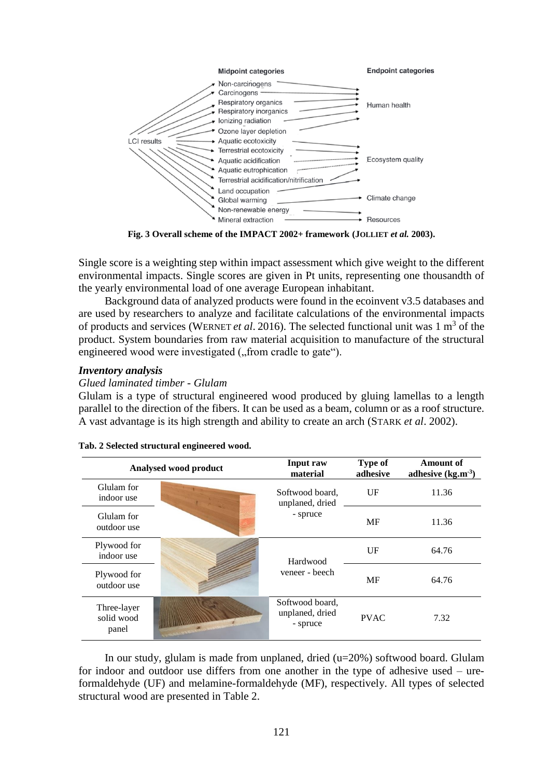

**Fig. 3 Overall scheme of the IMPACT 2002+ framework (JOLLIET** *et al.* **2003).**

Single score is a weighting step within impact assessment which give weight to the different environmental impacts. Single scores are given in Pt units, representing one thousandth of the yearly environmental load of one average European inhabitant.

Background data of analyzed products were found in the ecoinvent v3.5 databases and are used by researchers to analyze and facilitate calculations of the environmental impacts of products and services (WERNET *et al.* 2016). The selected functional unit was 1 m<sup>3</sup> of the product. System boundaries from raw material acquisition to manufacture of the structural engineered wood were investigated ("from cradle to gate").

## *Inventory analysis*

## *Glued laminated timber - Glulam*

Glulam is a type of structural engineered wood produced by gluing lamellas to a length parallel to the direction of the fibers. It can be used as a beam, column or as a roof structure. A vast advantage is its high strength and ability to create an arch (STARK *et al*. 2002).

|                                    | Analysed wood product | Input raw<br>material                          | <b>Type of</b><br>adhesive | <b>Amount of</b><br>adhesive $(kg.m3)$ |  |
|------------------------------------|-----------------------|------------------------------------------------|----------------------------|----------------------------------------|--|
| Glulam for<br>indoor use           |                       | Softwood board,<br>unplaned, dried             | $U$ F                      | 11.36                                  |  |
| Glulam for<br>outdoor use          |                       | - spruce                                       | MF                         | 11.36                                  |  |
| Plywood for<br>indoor use          |                       | Hardwood                                       | $U$ F                      | 64.76                                  |  |
| Plywood for<br>outdoor use         |                       | veneer - beech                                 | MF                         | 64.76                                  |  |
| Three-layer<br>solid wood<br>panel |                       | Softwood board,<br>unplaned, dried<br>- spruce | <b>PVAC</b>                | 7.32                                   |  |

#### **Tab. 2 Selected structural engineered wood.**

In our study, glulam is made from unplaned, dried (u=20%) softwood board. Glulam for indoor and outdoor use differs from one another in the type of adhesive used – ureformaldehyde (UF) and melamine-formaldehyde (MF), respectively. All types of selected structural wood are presented in Table 2.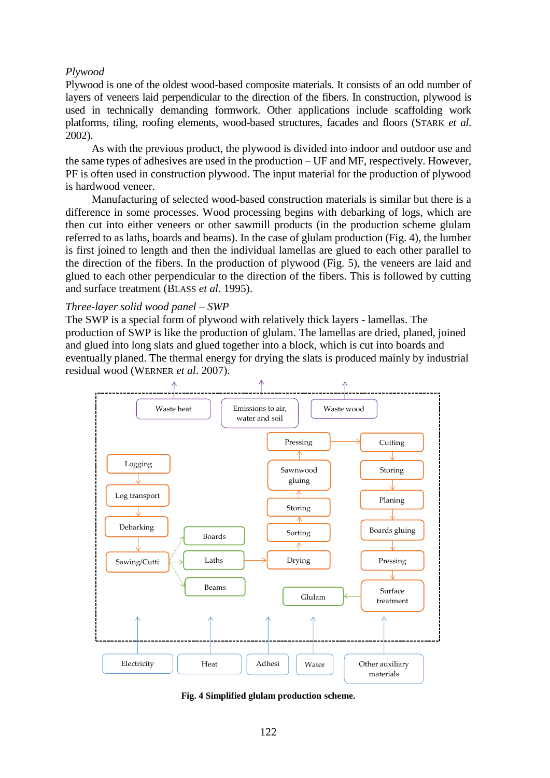## *Plywood*

Plywood is one of the oldest wood-based composite materials. It consists of an odd number of layers of veneers laid perpendicular to the direction of the fibers. In construction, plywood is used in technically demanding formwork. Other applications include scaffolding work platforms, tiling, roofing elements, wood-based structures, facades and floors (STARK *et al*. 2002).

As with the previous product, the plywood is divided into indoor and outdoor use and the same types of adhesives are used in the production – UF and MF, respectively. However, PF is often used in construction plywood. The input material for the production of plywood is hardwood veneer.

Manufacturing of selected wood-based construction materials is similar but there is a difference in some processes. Wood processing begins with debarking of logs, which are then cut into either veneers or other sawmill products (in the production scheme glulam referred to as laths, boards and beams). In the case of glulam production (Fig. 4), the lumber is first joined to length and then the individual lamellas are glued to each other parallel to the direction of the fibers. In the production of plywood (Fig. 5), the veneers are laid and glued to each other perpendicular to the direction of the fibers. This is followed by cutting and surface treatment (BLASS *et al*. 1995).

## *Three-layer solid wood panel – SWP*

The SWP is a special form of plywood with relatively thick layers - lamellas. The production of SWP is like the production of glulam. The lamellas are dried, planed, joined and glued into long slats and glued together into a block, which is cut into boards and eventually planed. The thermal energy for drying the slats is produced mainly by industrial residual wood (WERNER *et al*. 2007).



**Fig. 4 Simplified glulam production scheme.**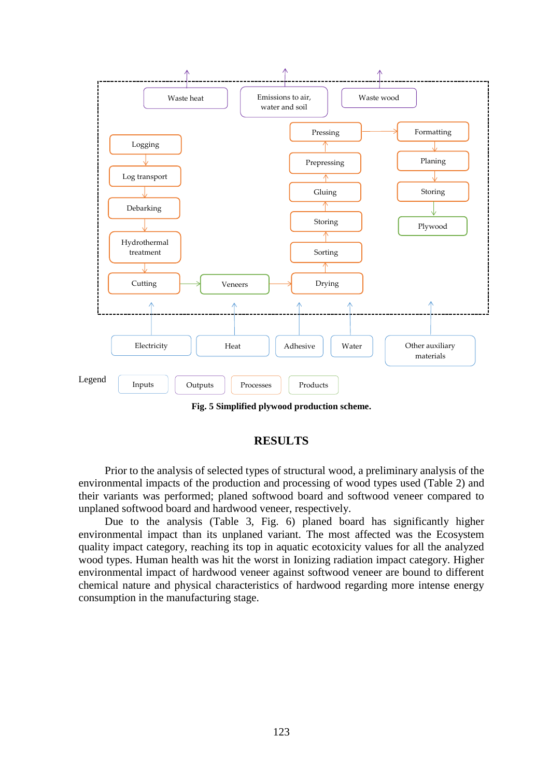

**Fig. 5 Simplified plywood production scheme.**

## **RESULTS**

Prior to the analysis of selected types of structural wood, a preliminary analysis of the environmental impacts of the production and processing of wood types used (Table 2) and their variants was performed; planed softwood board and softwood veneer compared to unplaned softwood board and hardwood veneer, respectively.

Due to the analysis (Table 3, Fig. 6) planed board has significantly higher environmental impact than its unplaned variant. The most affected was the Ecosystem quality impact category, reaching its top in aquatic ecotoxicity values for all the analyzed wood types. Human health was hit the worst in Ionizing radiation impact category. Higher environmental impact of hardwood veneer against softwood veneer are bound to different chemical nature and physical characteristics of hardwood regarding more intense energy consumption in the manufacturing stage.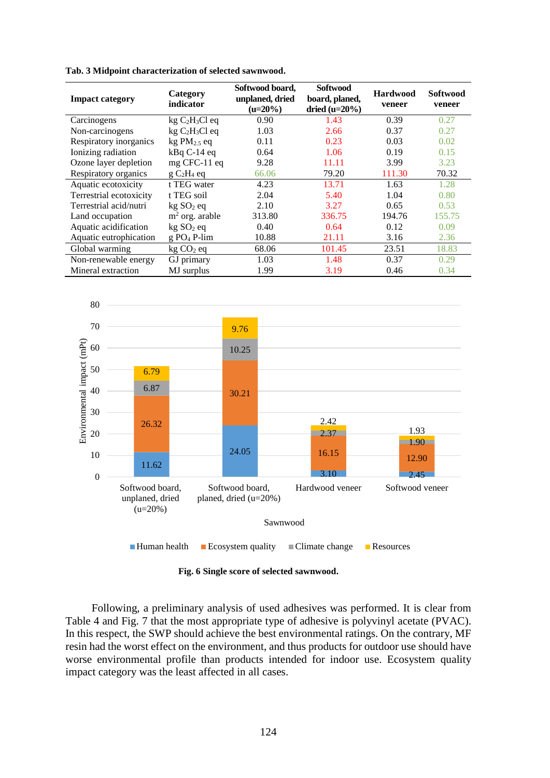| <b>Impact category</b>  | Category<br>indicator     | Softwood board,<br>unplaned, dried<br>$(u=20\%)$ | <b>Softwood</b><br>board, planed,<br>dried $(u=20\%)$ | <b>Hardwood</b><br>veneer | <b>Softwood</b><br>veneer |
|-------------------------|---------------------------|--------------------------------------------------|-------------------------------------------------------|---------------------------|---------------------------|
| Carcinogens             | $kg C2H3Cl$ eq            | 0.90                                             | 1.43                                                  | 0.39                      | 0.27                      |
| Non-carcinogens         | $kg C2H3Cl$ eq            | 1.03                                             | 2.66                                                  | 0.37                      | 0.27                      |
| Respiratory inorganics  | $kgPM2.5$ eq              | 0.11                                             | 0.23                                                  | 0.03                      | 0.02                      |
| Ionizing radiation      | $kBqC-14eq$               | 0.64                                             | 1.06                                                  | 0.19                      | 0.15                      |
| Ozone layer depletion   | $mg$ CFC-11 $eq$          | 9.28                                             | 11.11                                                 | 3.99                      | 3.23                      |
| Respiratory organics    | $g C2H4$ eq               | 66.06                                            | 79.20                                                 | 111.30                    | 70.32                     |
| Aquatic ecotoxicity     | t TEG water               | 4.23                                             | 13.71                                                 | 1.63                      | 1.28                      |
| Terrestrial ecotoxicity | t TEG soil                | 2.04                                             | 5.40                                                  | 1.04                      | 0.80                      |
| Terrestrial acid/nutri  | kg SO <sub>2</sub> eq     | 2.10                                             | 3.27                                                  | 0.65                      | 0.53                      |
| Land occupation         | $m2$ org. arable          | 313.80                                           | 336.75                                                | 194.76                    | 155.75                    |
| Aquatic acidification   | kg SO <sub>2</sub> eq     | 0.40                                             | 0.64                                                  | 0.12                      | 0.09                      |
| Aquatic eutrophication  | $g$ PO <sub>4</sub> P-lim | 10.88                                            | 21.11                                                 | 3.16                      | 2.36                      |
| Global warming          | $kg CO2$ eq               | 68.06                                            | 101.45                                                | 23.51                     | 18.83                     |
| Non-renewable energy    | GJ primary                | 1.03                                             | 1.48                                                  | 0.37                      | 0.29                      |
| Mineral extraction      | MJ surplus                | 1.99                                             | 3.19                                                  | 0.46                      | 0.34                      |

**Tab. 3 Midpoint characterization of selected sawnwood.**



**Fig. 6 Single score of selected sawnwood.**

Following, a preliminary analysis of used adhesives was performed. It is clear from Table 4 and Fig. 7 that the most appropriate type of adhesive is polyvinyl acetate (PVAC). In this respect, the SWP should achieve the best environmental ratings. On the contrary, MF resin had the worst effect on the environment, and thus products for outdoor use should have worse environmental profile than products intended for indoor use. Ecosystem quality impact category was the least affected in all cases.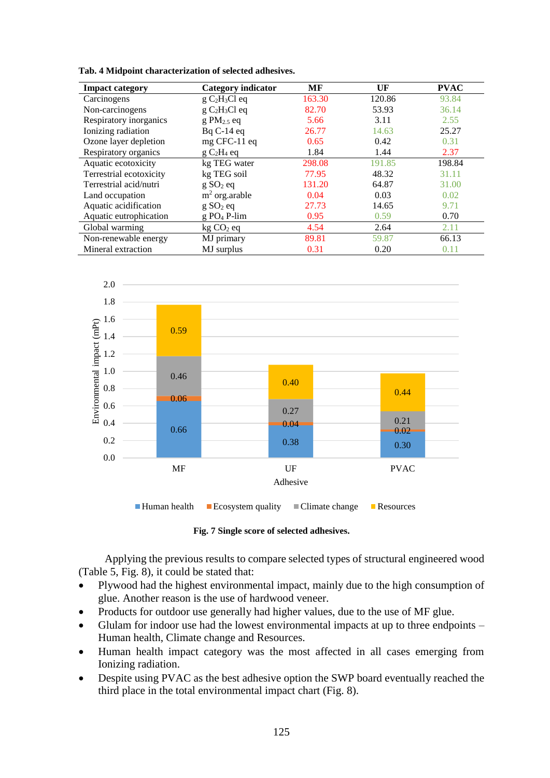**Tab. 4 Midpoint characterization of selected adhesives.**

| <b>Impact category</b>  | Category indicator   | MF           | UF     | <b>PVAC</b> |
|-------------------------|----------------------|--------------|--------|-------------|
| Carcinogens             | $g C2H3Cl$ eq        | 163.30       | 120.86 | 93.84       |
| Non-carcinogens         | $g C2H3Cl$ eq        | 82.70        | 53.93  | 36.14       |
| Respiratory inorganics  | $g PM2.5$ eq         | 3.11<br>5.66 |        | 2.55        |
| Ionizing radiation      | $BqC-14eq$           | 26.77        | 14.63  | 25.27       |
| Ozone layer depletion   | mg CFC-11 eq         | 0.42<br>0.65 |        | 0.31        |
| Respiratory organics    | $g C2H4$ eq          | 1.84         | 1.44   | 2.37        |
| Aquatic ecotoxicity     | kg TEG water         | 298.08       | 191.85 | 198.84      |
| Terrestrial ecotoxicity | kg TEG soil          | 77.95        | 48.32  | 31.11       |
| Terrestrial acid/nutri  | g SO <sub>2</sub> eq | 131.20       | 64.87  | 31.00       |
| Land occupation         | $m2$ org. arable     | 0.04         | 0.03   | 0.02        |
| Aquatic acidification   | g SO <sub>2</sub> eq | 27.73        | 14.65  | 9.71        |
| Aquatic eutrophication  | $g PO_4$ P-lim       | 0.95         | 0.59   | 0.70        |
| Global warming          | $kg CO2$ eq          | 4.54         | 2.64   | 2.11        |
| Non-renewable energy    | MJ primary           | 89.81        | 59.87  | 66.13       |
| Mineral extraction      | MJ surplus           | 0.31         | 0.20   | 0.11        |



**Fig. 7 Single score of selected adhesives.**

Applying the previous results to compare selected types of structural engineered wood (Table 5, Fig. 8), it could be stated that:

- Plywood had the highest environmental impact, mainly due to the high consumption of glue. Another reason is the use of hardwood veneer.
- Products for outdoor use generally had higher values, due to the use of MF glue.
- Glulam for indoor use had the lowest environmental impacts at up to three endpoints Human health, Climate change and Resources.
- Human health impact category was the most affected in all cases emerging from Ionizing radiation.
- Despite using PVAC as the best adhesive option the SWP board eventually reached the third place in the total environmental impact chart (Fig. 8).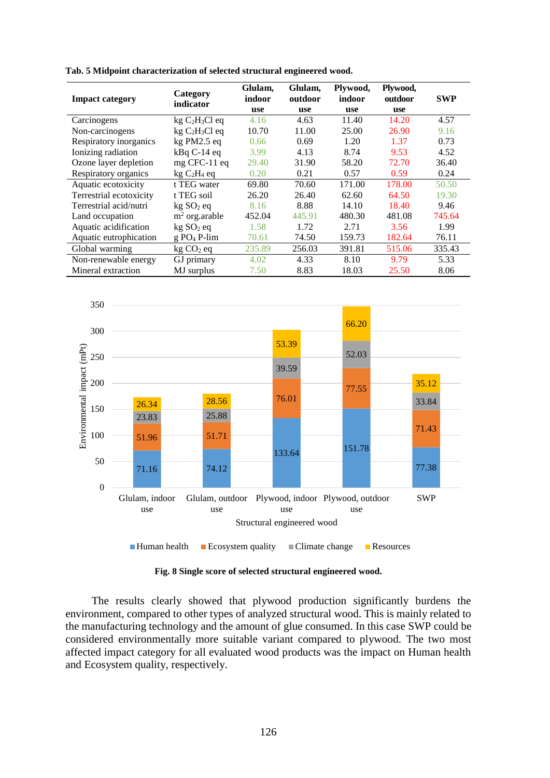| <b>Impact category</b>  | Category<br>indicator     | Glulam,<br>indoor | Glulam,<br>outdoor | Plywood,<br>indoor | Plywood,<br>outdoor | <b>SWP</b> |
|-------------------------|---------------------------|-------------------|--------------------|--------------------|---------------------|------------|
|                         |                           | use               | use                | use                | <b>use</b>          |            |
| Carcinogens             | $kg C2H3Cl$ eq            | 4.16              | 4.63               | 11.40              | 14.20               | 4.57       |
| Non-carcinogens         | $kg C2H3Cl$ eq            | 10.70             | 11.00              | 25.00              | 26.90               | 9.16       |
| Respiratory inorganics  | kg PM2.5 eq               | 0.66              | 0.69               | 1.20               | 1.37                | 0.73       |
| Ionizing radiation      | $kBqC-14eq$               | 3.99              | 4.13               | 8.74               | 9.53                | 4.52       |
| Ozone layer depletion   | $mg$ CFC-11 $eq$          | 29.40             | 31.90              | 58.20              | 72.70               | 36.40      |
| Respiratory organics    | $kg C2H4$ eq              | 0.20              | 0.21               | 0.57               | 0.59                | 0.24       |
| Aquatic ecotoxicity     | t TEG water               | 69.80             | 70.60              | 171.00             | 178.00              | 50.50      |
| Terrestrial ecotoxicity | t TEG soil                | 26.20             | 26.40              | 62.60              | 64.50               | 19.30      |
| Terrestrial acid/nutri  | kg SO <sub>2</sub> eq     | 8.16              | 8.88               | 14.10              | 18.40               | 9.46       |
| Land occupation         | $m2$ org. arable          | 452.04            | 445.91             | 480.30             | 481.08              | 745.64     |
| Aquatic acidification   | kg SO <sub>2</sub> eq     | 1.58              | 1.72               | 2.71               | 3.56                | 1.99       |
| Aquatic eutrophication  | $g$ PO <sub>4</sub> P-lim | 70.61             | 74.50              | 159.73             | 182.64              | 76.11      |
| Global warming          | $kg CO2$ eq               | 235.89            | 256.03             | 391.81             | 515.06              | 335.43     |
| Non-renewable energy    | GJ primary                | 4.02              | 4.33               | 8.10               | 9.79                | 5.33       |
| Mineral extraction      | MJ surplus                | 7.50              | 8.83               | 18.03              | 25.50               | 8.06       |

**Tab. 5 Midpoint characterization of selected structural engineered wood.**



**Fig. 8 Single score of selected structural engineered wood.**

The results clearly showed that plywood production significantly burdens the environment, compared to other types of analyzed structural wood. This is mainly related to the manufacturing technology and the amount of glue consumed. In this case SWP could be considered environmentally more suitable variant compared to plywood. The two most affected impact category for all evaluated wood products was the impact on Human health and Ecosystem quality, respectively.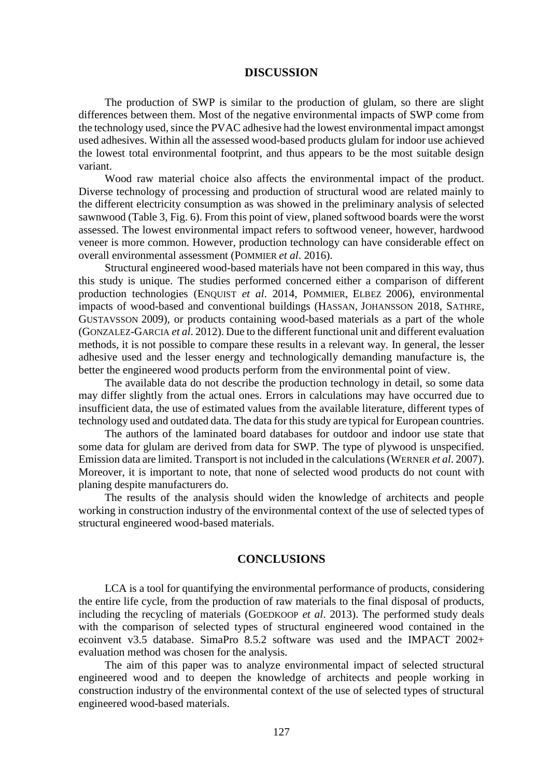### **DISCUSSION**

The production of SWP is similar to the production of glulam, so there are slight differences between them. Most of the negative environmental impacts of SWP come from the technology used, since the PVAC adhesive had the lowest environmental impact amongst used adhesives. Within all the assessed wood-based products glulam for indoor use achieved the lowest total environmental footprint, and thus appears to be the most suitable design variant.

Wood raw material choice also affects the environmental impact of the product. Diverse technology of processing and production of structural wood are related mainly to the different electricity consumption as was showed in the preliminary analysis of selected sawnwood (Table 3, Fig. 6). From this point of view, planed softwood boards were the worst assessed. The lowest environmental impact refers to softwood veneer, however, hardwood veneer is more common. However, production technology can have considerable effect on overall environmental assessment (POMMIER *et al*. 2016).

Structural engineered wood-based materials have not been compared in this way, thus this study is unique. The studies performed concerned either a comparison of different production technologies (ENQUIST *et al*. 2014, POMMIER, ELBEZ 2006), environmental impacts of wood-based and conventional buildings (HASSAN, JOHANSSON 2018, SATHRE, GUSTAVSSON 2009), or products containing wood-based materials as a part of the whole (GONZALEZ-GARCIA *et al*. 2012). Due to the different functional unit and different evaluation methods, it is not possible to compare these results in a relevant way. In general, the lesser adhesive used and the lesser energy and technologically demanding manufacture is, the better the engineered wood products perform from the environmental point of view.

The available data do not describe the production technology in detail, so some data may differ slightly from the actual ones. Errors in calculations may have occurred due to insufficient data, the use of estimated values from the available literature, different types of technology used and outdated data. The data for this study are typical for European countries.

The authors of the laminated board databases for outdoor and indoor use state that some data for glulam are derived from data for SWP. The type of plywood is unspecified. Emission data are limited. Transport is not included in the calculations (WERNER *et al*. 2007). Moreover, it is important to note, that none of selected wood products do not count with planing despite manufacturers do.

The results of the analysis should widen the knowledge of architects and people working in construction industry of the environmental context of the use of selected types of structural engineered wood-based materials.

## **CONCLUSIONS**

LCA is a tool for quantifying the environmental performance of products, considering the entire life cycle, from the production of raw materials to the final disposal of products, including the recycling of materials (GOEDKOOP *et al*. 2013). The performed study deals with the comparison of selected types of structural engineered wood contained in the ecoinvent v3.5 database. SimaPro 8.5.2 software was used and the IMPACT 2002+ evaluation method was chosen for the analysis.

The aim of this paper was to analyze environmental impact of selected structural engineered wood and to deepen the knowledge of architects and people working in construction industry of the environmental context of the use of selected types of structural engineered wood-based materials.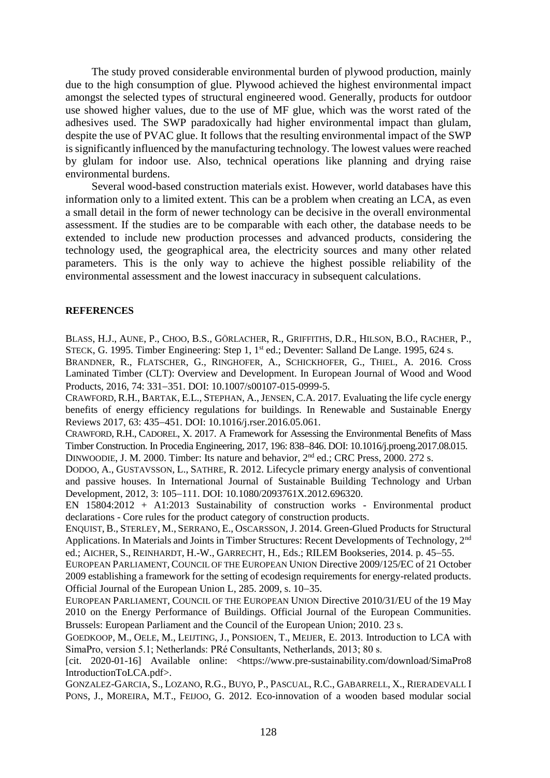The study proved considerable environmental burden of plywood production, mainly due to the high consumption of glue. Plywood achieved the highest environmental impact amongst the selected types of structural engineered wood. Generally, products for outdoor use showed higher values, due to the use of MF glue, which was the worst rated of the adhesives used. The SWP paradoxically had higher environmental impact than glulam, despite the use of PVAC glue. It follows that the resulting environmental impact of the SWP is significantly influenced by the manufacturing technology. The lowest values were reached by glulam for indoor use. Also, technical operations like planning and drying raise environmental burdens.

Several wood-based construction materials exist. However, world databases have this information only to a limited extent. This can be a problem when creating an LCA, as even a small detail in the form of newer technology can be decisive in the overall environmental assessment. If the studies are to be comparable with each other, the database needs to be extended to include new production processes and advanced products, considering the technology used, the geographical area, the electricity sources and many other related parameters. This is the only way to achieve the highest possible reliability of the environmental assessment and the lowest inaccuracy in subsequent calculations.

### **REFERENCES**

BLASS, H.J., AUNE, P., CHOO, B.S., GÖRLACHER, R., GRIFFITHS, D.R., HILSON, B.O., RACHER, P., STECK, G. 1995. Timber Engineering: Step 1, 1<sup>st</sup> ed.; Deventer: Salland De Lange. 1995, 624 s.

BRANDNER, R., FLATSCHER, G., RINGHOFER, A., SCHICKHOFER, G., THIEL, A. 2016. Cross Laminated Timber (CLT): Overview and Development. In European Journal of Wood and Wood Products, 2016, 74: 331-351. DOI: 10.1007/s00107-015-0999-5.

CRAWFORD, R.H., BARTAK, E.L., STEPHAN, A.,JENSEN, C.A. 2017. Evaluating the life cycle energy benefits of energy efficiency regulations for buildings. In Renewable and Sustainable Energy Reviews 2017, 63: 435-451. DOI: 10.1016/j.rser.2016.05.061.

CRAWFORD, R.H., CADOREL, X. 2017. A Framework for Assessing the Environmental Benefits of Mass Timber Construction. In Procedia Engineering, 2017, 196: 838–846. DOI: 10.1016/j.proeng.2017.08.015. DINWOODIE, J. M. 2000. Timber: Its nature and behavior, 2<sup>nd</sup> ed.; CRC Press, 2000. 272 s.

DODOO, A., GUSTAVSSON, L., SATHRE, R. 2012. Lifecycle primary energy analysis of conventional and passive houses. In International Journal of Sustainable Building Technology and Urban Development, 2012, 3: 105-111, DOI: 10.1080/2093761X.2012.696320.

EN 15804:2012 + A1:2013 Sustainability of construction works - Environmental product declarations - Core rules for the product category of construction products.

ENQUIST, B., STERLEY, M., SERRANO, E., OSCARSSON, J. 2014. Green-Glued Products for Structural Applications. In Materials and Joints in Timber Structures: Recent Developments of Technology, 2<sup>nd</sup> ed.; AICHER, S., REINHARDT, H.-W., GARRECHT, H., Eds.; RILEM Bookseries, 2014. p. 45–55.

EUROPEAN PARLIAMENT, COUNCIL OF THE EUROPEAN UNION Directive 2009/125/EC of 21 October 2009 establishing a framework for the setting of ecodesign requirements for energy-related products. Official Journal of the European Union L, 285. 2009, s. 10–35.

EUROPEAN PARLIAMENT, COUNCIL OF THE EUROPEAN UNION Directive 2010/31/EU of the 19 May 2010 on the Energy Performance of Buildings. Official Journal of the European Communities. Brussels: European Parliament and the Council of the European Union; 2010. 23 s.

GOEDKOOP, M., OELE, M., LEIJTING, J., PONSIOEN, T., MEIJER, E. 2013. Introduction to LCA with SimaPro, version 5.1; Netherlands: PRé Consultants, Netherlands, 2013; 80 s.

[cit. 2020-01-16] Available online: <https://www.pre-sustainability.com/download/SimaPro8 IntroductionToLCA.pdf>.

GONZALEZ-GARCIA, S., LOZANO, R.G., BUYO, P., PASCUAL, R.C., GABARRELL, X., RIERADEVALL I PONS, J., MOREIRA, M.T., FEIJOO, G. 2012. Eco-innovation of a wooden based modular social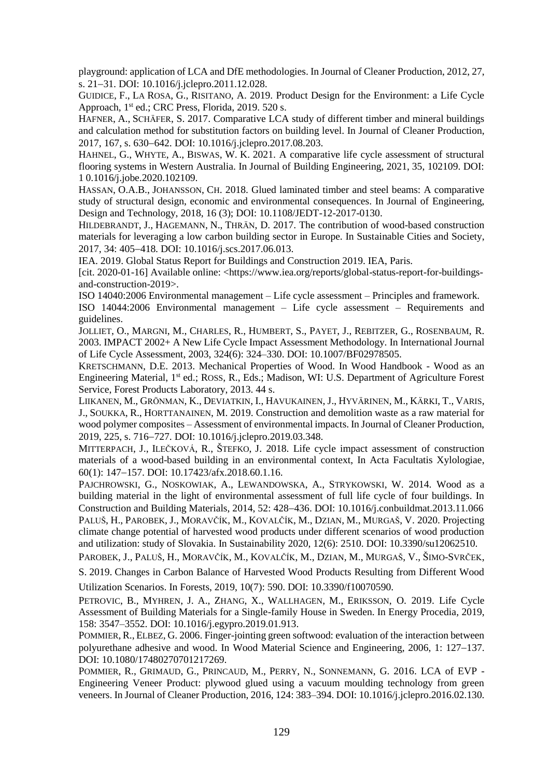playground: application of LCA and DfE methodologies. In Journal of Cleaner Production, 2012, 27, s. 21–31. DOI: 10.1016/j.jclepro.2011.12.028.

GUIDICE, F., LA ROSA, G., RISITANO, A. 2019. Product Design for the Environment: a Life Cycle Approach, 1<sup>st</sup> ed.; CRC Press, Florida, 2019. 520 s.

HAFNER, A., SCHÄFER, S. 2017. Comparative LCA study of different timber and mineral buildings and calculation method for substitution factors on building level. In Journal of Cleaner Production, 2017, 167, s. 630–642. DOI: 10.1016/j.jclepro.2017.08.203.

HAHNEL, G., WHYTE, A., BISWAS, W. K. 2021. A comparative life cycle assessment of structural flooring systems in Western Australia. In Journal of Building Engineering, 2021, 35, 102109. DOI: 1 0.1016/j.jobe.2020.102109.

HASSAN, O.A.B., JOHANSSON, CH. 2018. Glued laminated timber and steel beams: A comparative study of structural design, economic and environmental consequences. In Journal of Engineering, Design and Technology, 2018, 16 (3); DOI: 10.1108/JEDT-12-2017-0130.

HILDEBRANDT, J., HAGEMANN, N., THRÄN, D. 2017. The contribution of wood-based construction materials for leveraging a low carbon building sector in Europe. In Sustainable Cities and Society, 2017, 34: 405418. DOI: 10.1016/j.scs.2017.06.013.

IEA. 2019. Global Status Report for Buildings and Construction 2019. IEA, Paris.

[cit. 2020-01-16] Available online: <https://www.iea.org/reports/global-status-report-for-buildingsand-construction-2019>.

ISO 14040:2006 Environmental management – Life cycle assessment – Principles and framework.

ISO 14044:2006 Environmental management – Life cycle assessment – Requirements and guidelines.

JOLLIET, O., MARGNI, M., CHARLES, R., HUMBERT, S., PAYET, J., REBITZER, G., ROSENBAUM, R. 2003. IMPACT 2002+ A New Life Cycle Impact Assessment Methodology. In International Journal of Life Cycle Assessment, 2003, 324(6): 324–330. DOI: 10.1007/BF02978505.

KRETSCHMANN, D.E. 2013. Mechanical Properties of Wood. In Wood Handbook - Wood as an Engineering Material, 1<sup>st</sup> ed.; ROSS, R., Eds.; Madison, WI: U.S. Department of Agriculture Forest Service, Forest Products Laboratory, 2013. 44 s.

LIIKANEN, M., GRÖNMAN, K., DEVIATKIN, I., HAVUKAINEN, J., HYVÄRINEN, M., KÄRKI, T., VARIS, J., SOUKKA, R., HORTTANAINEN, M. 2019. Construction and demolition waste as a raw material for wood polymer composites – Assessment of environmental impacts. In Journal of Cleaner Production, 2019, 225, s. 716–727. DOI: 10.1016/j.jclepro.2019.03.348.

MITTERPACH, J., ILEČKOVÁ, R., ŠTEFKO, J. 2018. Life cycle impact assessment of construction materials of a wood-based building in an environmental context, In Acta Facultatis Xylologiae, 60(1): 147–157. DOI: 10.17423/afx.2018.60.1.16.

PAJCHROWSKI, G., NOSKOWIAK, A., LEWANDOWSKA, A., STRYKOWSKI, W. 2014. Wood as a building material in the light of environmental assessment of full life cycle of four buildings. In Construction and Building Materials, 2014, 52:  $428-436$ . DOI: 10.1016/j.conbuildmat.2013.11.066 PALUŠ, H., PAROBEK, J., MORAVČÍK, M., KOVALČÍK, M., DZIAN, M., MURGAŠ, V. 2020. Projecting climate change potential of harvested wood products under different scenarios of wood production and utilization: study of Slovakia. In Sustainability 2020, 12(6): 2510. DOI: 10.3390/su12062510.

PAROBEK, J., PALUŠ, H., MORAVČÍK, M., KOVALČÍK, M., DZIAN, M., MURGAŠ, V., ŠIMO-SVRČEK,

S. 2019. Changes in Carbon Balance of Harvested Wood Products Resulting from Different Wood

Utilization Scenarios. In Forests, 2019, 10(7): 590. DOI: 10.3390/f10070590.

PETROVIC, B., MYHREN, J. A., ZHANG, X., WALLHAGEN, M., ERIKSSON, O. 2019. Life Cycle Assessment of Building Materials for a Single-family House in Sweden. In Energy Procedia*,* 2019, 158: 3547–3552. DOI: 10.1016/j.egypro.2019.01.913.

POMMIER, R., ELBEZ, G. 2006. Finger-jointing green softwood: evaluation of the interaction between polyurethane adhesive and wood. In Wood Material Science and Engineering, 2006, 1: 127–137. DOI: 10.1080/17480270701217269.

POMMIER, R., GRIMAUD, G., PRINCAUD, M., PERRY, N., SONNEMANN, G. 2016. LCA of EVP - Engineering Veneer Product: plywood glued using a vacuum moulding technology from green veneers. In Journal of Cleaner Production, 2016, 124: 383–394. DOI: 10.1016/j.jclepro.2016.02.130.